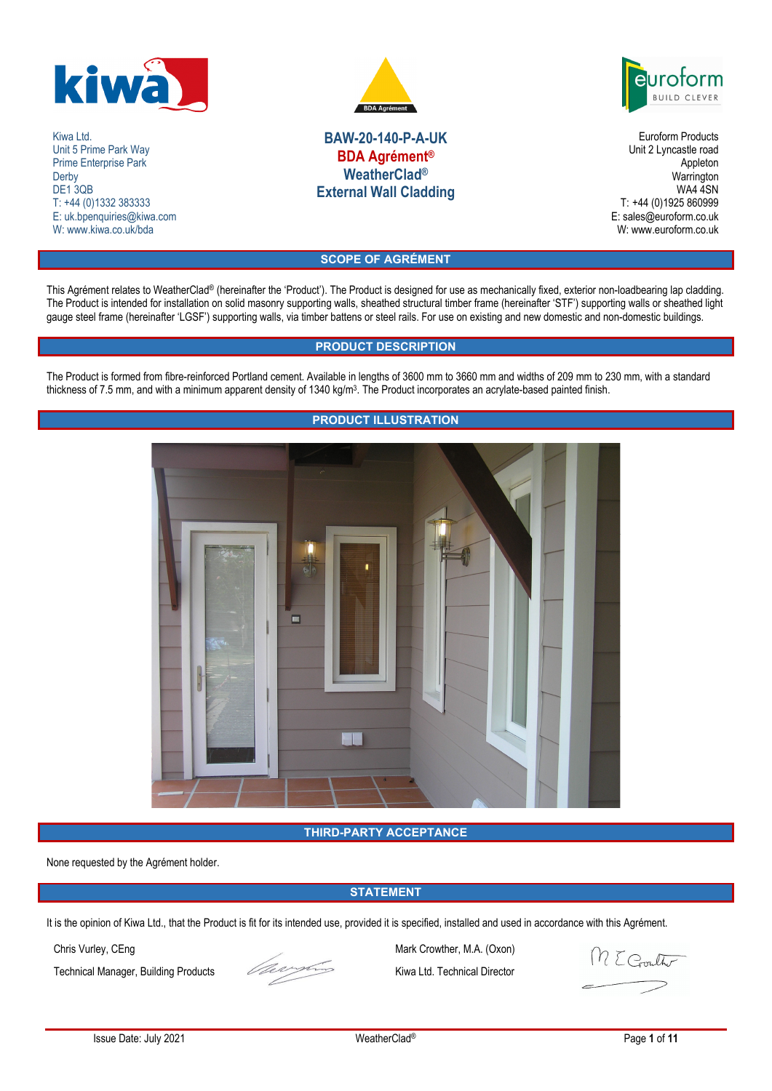

Kiwa Ltd. Unit 5 Prime Park Way Prime Enterprise Park Derby DE<sub>1</sub>3QB T: +44 (0)1332 383333 E: uk.bpenquiries@kiwa.com W: www.kiwa.co.uk/bda



# **BAW-20-140-P-A-UK BDA Agrément® WeatherClad® External Wall Cladding**

rotorm **BUILD CLEVE** 

Euroform Products Unit 2 Lyncastle road Appleton **Warrington** WA4 4SN T: +44 (0)1925 860999 E: sales@euroform.co.uk W: www.euroform.co.uk

**SCOPE OF AGRÉMENT** 

This Agrément relates to WeatherClad® (hereinafter the 'Product'). The Product is designed for use as mechanically fixed, exterior non-loadbearing lap cladding. The Product is intended for installation on solid masonry supporting walls, sheathed structural timber frame (hereinafter 'STF') supporting walls or sheathed light gauge steel frame (hereinafter 'LGSF') supporting walls, via timber battens or steel rails. For use on existing and new domestic and non-domestic buildings.

# **PRODUCT DESCRIPTION**

The Product is formed from fibre-reinforced Portland cement. Available in lengths of 3600 mm to 3660 mm and widths of 209 mm to 230 mm, with a standard thickness of 7.5 mm, and with a minimum apparent density of 1340 kg/m<sup>3</sup> . The Product incorporates an acrylate-based painted finish.



# **PRODUCT ILLUSTRATION**

**THIRD-PARTY ACCEPTANCE** 

None requested by the Agrément holder.

# **STATEMENT**

It is the opinion of Kiwa Ltd., that the Product is fit for its intended use, provided it is specified, installed and used in accordance with this Agrément.

Technical Manager, Building Products Kiwa Ltd. Technical Director



Chris Vurley, CEng Mark Crowther, M.A. (Oxon)<br>Technical Manager, Building Products Kiwa Ltd. Technical Director

ME Coult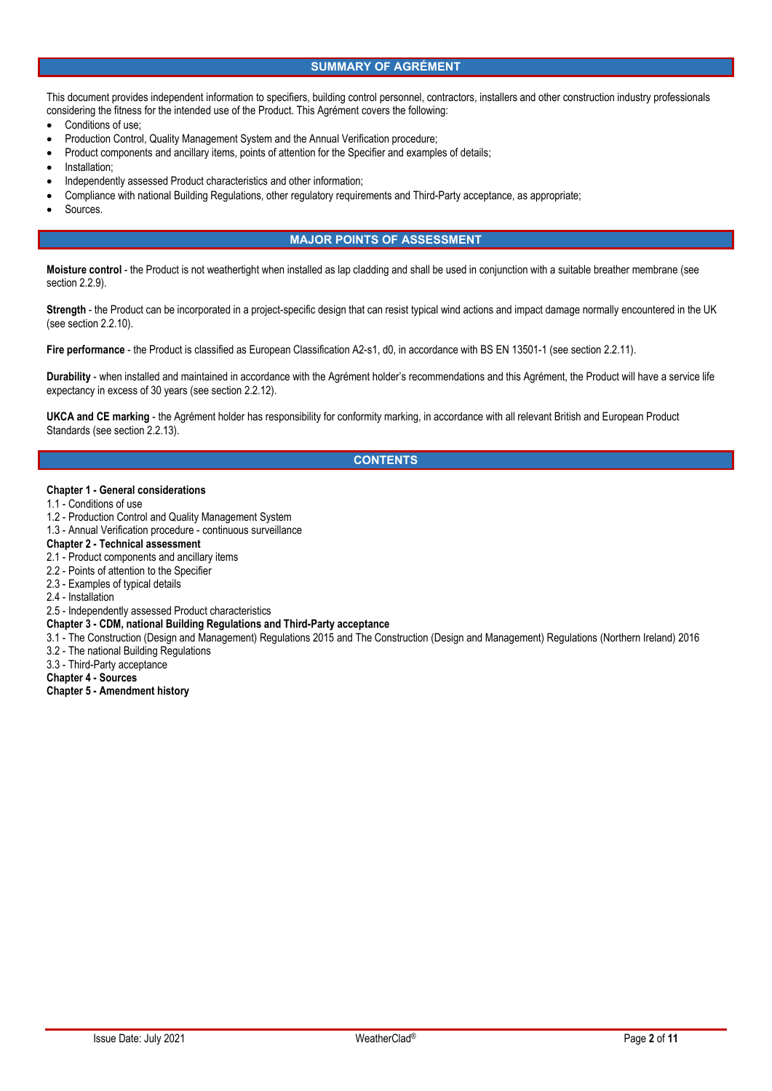### **SUMMARY OF AGRÉMENT**

This document provides independent information to specifiers, building control personnel, contractors, installers and other construction industry professionals considering the fitness for the intended use of the Product. This Agrément covers the following:

- Conditions of use;
- Production Control, Quality Management System and the Annual Verification procedure;
- Product components and ancillary items, points of attention for the Specifier and examples of details;
- **Installation**
- Independently assessed Product characteristics and other information;
- Compliance with national Building Regulations, other regulatory requirements and Third-Party acceptance, as appropriate;
- Sources.

### **MAJOR POINTS OF ASSESSMENT**

**Moisture control** - the Product is not weathertight when installed as lap cladding and shall be used in conjunction with a suitable breather membrane (see section 2.2.9).

**Strength** - the Product can be incorporated in a project-specific design that can resist typical wind actions and impact damage normally encountered in the UK (see section 2.2.10).

**Fire performance** - the Product is classified as European Classification A2-s1, d0, in accordance with BS EN 13501-1 (see section 2.2.11).

**Durability** - when installed and maintained in accordance with the Agrément holder's recommendations and this Agrément, the Product will have a service life expectancy in excess of 30 years (see section 2.2.12).

**UKCA and CE marking** - the Agrément holder has responsibility for conformity marking, in accordance with all relevant British and European Product Standards (see section 2.2.13).

### **CONTENTS**

#### **Chapter 1 - General considerations**

- 1.1 Conditions of use
- 1.2 Production Control and Quality Management System
- 1.3 Annual Verification procedure continuous surveillance

# **Chapter 2 - Technical assessment**

- 2.1 Product components and ancillary items
- 2.2 Points of attention to the Specifier
- 2.3 Examples of typical details
- 2.4 Installation
- 2.5 Independently assessed Product characteristics
- **Chapter 3 CDM, national Building Regulations and Third-Party acceptance**
- 3.1 The Construction (Design and Management) Regulations 2015 and The Construction (Design and Management) Regulations (Northern Ireland) 2016
- 3.2 The national Building Regulations
- 3.3 Third-Party acceptance

### **Chapter 4 - Sources**

#### **Chapter 5 - Amendment history**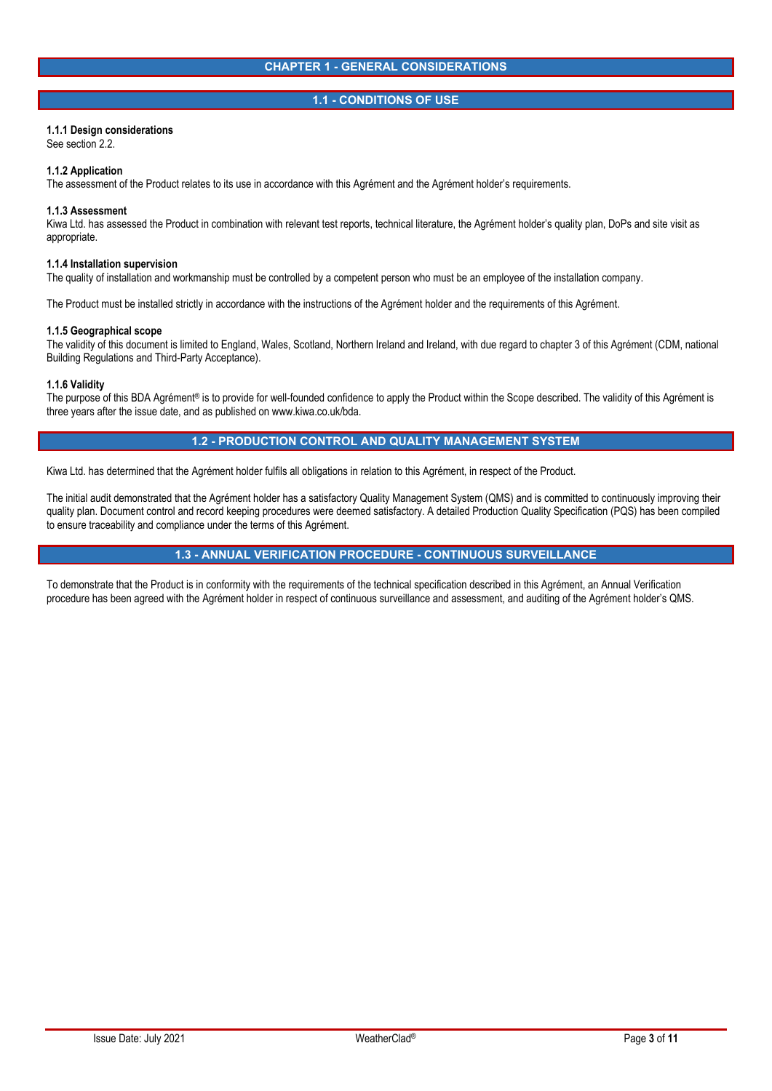### **1.1 - CONDITIONS OF USE**

#### **1.1.1 Design considerations**

See section 2.2.

#### **1.1.2 Application**

The assessment of the Product relates to its use in accordance with this Agrément and the Agrément holder's requirements.

#### **1.1.3 Assessment**

Kiwa Ltd. has assessed the Product in combination with relevant test reports, technical literature, the Agrément holder's quality plan, DoPs and site visit as appropriate.

#### **1.1.4 Installation supervision**

The quality of installation and workmanship must be controlled by a competent person who must be an employee of the installation company.

The Product must be installed strictly in accordance with the instructions of the Agrément holder and the requirements of this Agrément.

#### **1.1.5 Geographical scope**

The validity of this document is limited to England, Wales, Scotland, Northern Ireland and Ireland, with due regard to chapter 3 of this Agrément (CDM, national Building Regulations and Third-Party Acceptance).

#### **1.1.6 Validity**

The purpose of this BDA Agrément® is to provide for well-founded confidence to apply the Product within the Scope described. The validity of this Agrément is three years after the issue date, and as published on www.kiwa.co.uk/bda.

### **1.2 - PRODUCTION CONTROL AND QUALITY MANAGEMENT SYSTEM**

Kiwa Ltd. has determined that the Agrément holder fulfils all obligations in relation to this Agrément, in respect of the Product.

The initial audit demonstrated that the Agrément holder has a satisfactory Quality Management System (QMS) and is committed to continuously improving their quality plan. Document control and record keeping procedures were deemed satisfactory. A detailed Production Quality Specification (PQS) has been compiled to ensure traceability and compliance under the terms of this Agrément.

### **1.3 - ANNUAL VERIFICATION PROCEDURE - CONTINUOUS SURVEILLANCE**

To demonstrate that the Product is in conformity with the requirements of the technical specification described in this Agrément, an Annual Verification procedure has been agreed with the Agrément holder in respect of continuous surveillance and assessment, and auditing of the Agrément holder's QMS.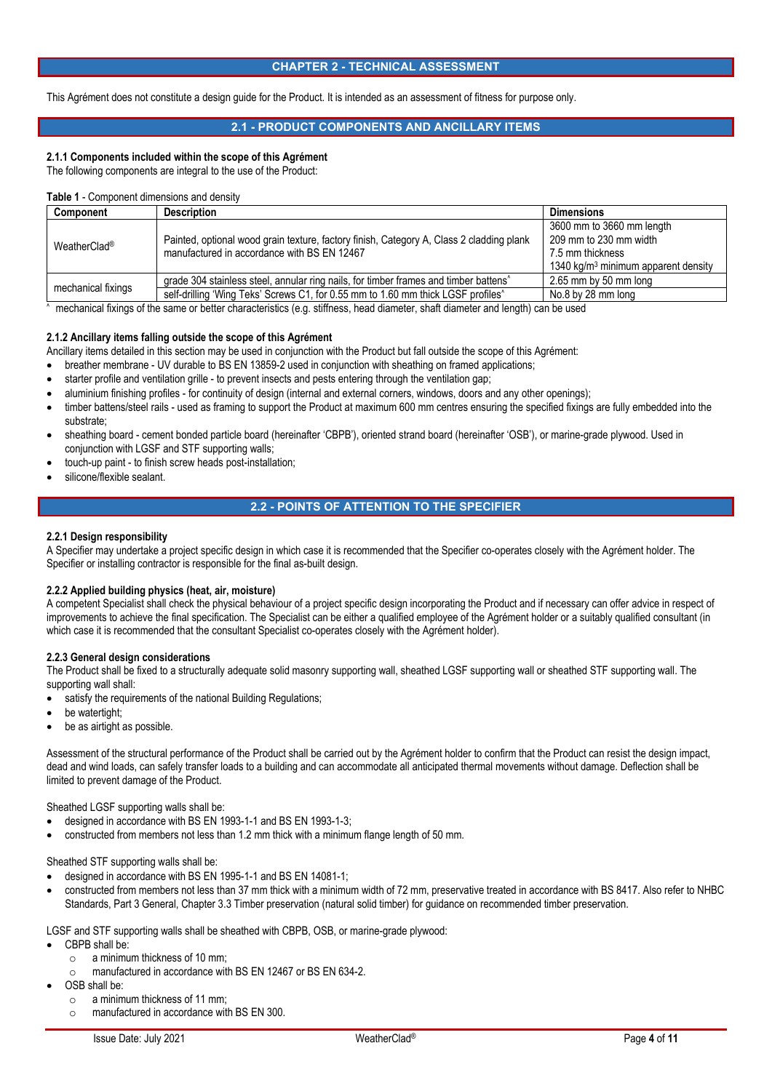### **CHAPTER 2 - TECHNICAL ASSESSMENT**

This Agrément does not constitute a design guide for the Product. It is intended as an assessment of fitness for purpose only.

# **2.1 - PRODUCT COMPONENTS AND ANCILLARY ITEMS**

# **2.1.1 Components included within the scope of this Agrément**

The following components are integral to the use of the Product:

### **Table 1** - Component dimensions and density

| <b>Component</b>         | <b>Description</b>                                                                                                                      | <b>Dimensions</b>                               |
|--------------------------|-----------------------------------------------------------------------------------------------------------------------------------------|-------------------------------------------------|
| WeatherClad <sup>®</sup> |                                                                                                                                         | 3600 mm to 3660 mm length                       |
|                          | Painted, optional wood grain texture, factory finish, Category A, Class 2 cladding plank<br>manufactured in accordance with BS EN 12467 | 209 mm to 230 mm width                          |
|                          |                                                                                                                                         | 7.5 mm thickness                                |
|                          |                                                                                                                                         | 1340 kg/m <sup>3</sup> minimum apparent density |
| mechanical fixings       | grade 304 stainless steel, annular ring nails, for timber frames and timber battens <sup>^</sup>                                        | $2.65$ mm by 50 mm long                         |
|                          | self-drilling 'Wing Teks' Screws C1, for 0.55 mm to 1.60 mm thick LGSF profiles <sup>^</sup>                                            | No.8 by 28 mm long                              |

mechanical fixings of the same or better characteristics (e.g. stiffness, head diameter, shaft diameter and length) can be used

### **2.1.2 Ancillary items falling outside the scope of this Agrément**

Ancillary items detailed in this section may be used in conjunction with the Product but fall outside the scope of this Agrément:

- breather membrane UV durable to BS EN 13859-2 used in conjunction with sheathing on framed applications;
- starter profile and ventilation grille to prevent insects and pests entering through the ventilation gap;
- aluminium finishing profiles for continuity of design (internal and external corners, windows, doors and any other openings);
- timber battens/steel rails used as framing to support the Product at maximum 600 mm centres ensuring the specified fixings are fully embedded into the substrate;
- sheathing board cement bonded particle board (hereinafter 'CBPB'), oriented strand board (hereinafter 'OSB'), or marine-grade plywood. Used in conjunction with LGSF and STF supporting walls;
- touch-up paint to finish screw heads post-installation;
- silicone/flexible sealant.

^

# **2.2 - POINTS OF ATTENTION TO THE SPECIFIER**

#### **2.2.1 Design responsibility**

A Specifier may undertake a project specific design in which case it is recommended that the Specifier co-operates closely with the Agrément holder. The Specifier or installing contractor is responsible for the final as-built design.

### **2.2.2 Applied building physics (heat, air, moisture)**

A competent Specialist shall check the physical behaviour of a project specific design incorporating the Product and if necessary can offer advice in respect of improvements to achieve the final specification. The Specialist can be either a qualified employee of the Agrément holder or a suitably qualified consultant (in which case it is recommended that the consultant Specialist co-operates closely with the Agrément holder).

### **2.2.3 General design considerations**

The Product shall be fixed to a structurally adequate solid masonry supporting wall, sheathed LGSF supporting wall or sheathed STF supporting wall. The supporting wall shall:

satisfy the requirements of the national Building Regulations;

- be watertight;
- be as airtight as possible.

Assessment of the structural performance of the Product shall be carried out by the Agrément holder to confirm that the Product can resist the design impact, dead and wind loads, can safely transfer loads to a building and can accommodate all anticipated thermal movements without damage. Deflection shall be limited to prevent damage of the Product.

Sheathed LGSF supporting walls shall be:

- designed in accordance with BS EN 1993-1-1 and BS EN 1993-1-3;
- constructed from members not less than 1.2 mm thick with a minimum flange length of 50 mm.

Sheathed STF supporting walls shall be:

- designed in accordance with BS EN 1995-1-1 and BS EN 14081-1;
- constructed from members not less than 37 mm thick with a minimum width of 72 mm, preservative treated in accordance with BS 8417. Also refer to NHBC Standards, Part 3 General, Chapter 3.3 Timber preservation (natural solid timber) for guidance on recommended timber preservation.

LGSF and STF supporting walls shall be sheathed with CBPB, OSB, or marine-grade plywood:

- CBPB shall be:
	- $\circ$  a minimum thickness of 10 mm;
	- o manufactured in accordance with BS EN 12467 or BS EN 634-2.
- OSB shall be:
	- o a minimum thickness of 11 mm;
	- o manufactured in accordance with BS EN 300.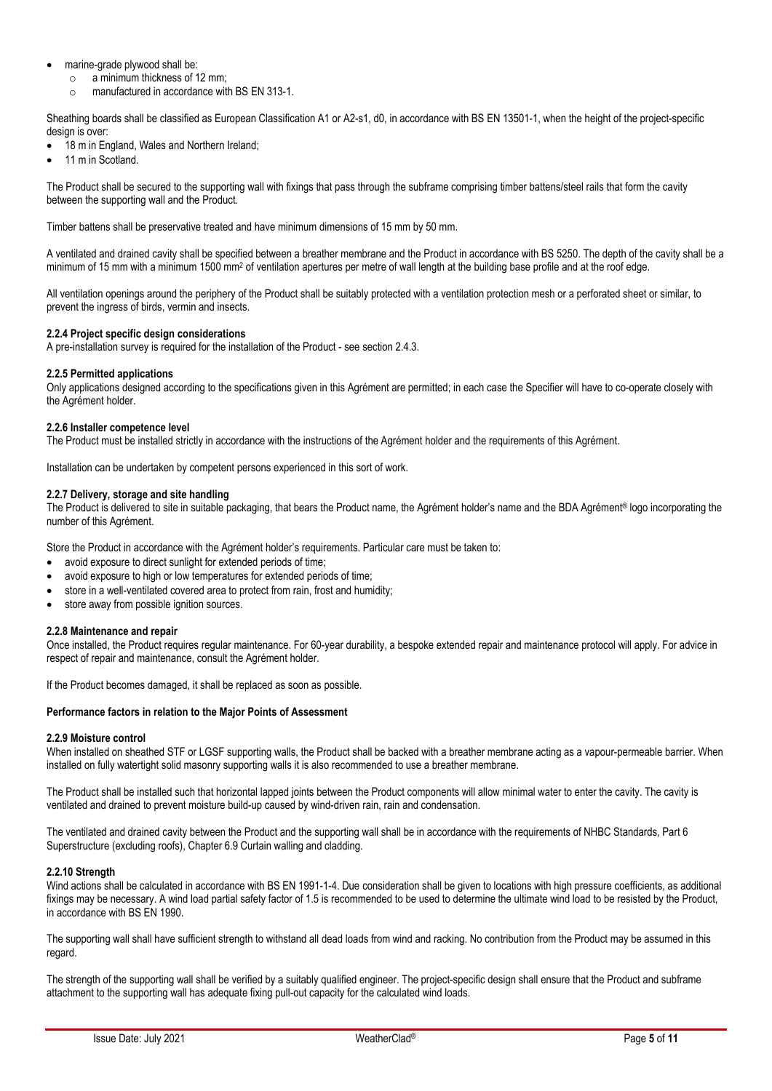- marine-grade plywood shall be:
	- o a minimum thickness of 12 mm;
	- o manufactured in accordance with BS EN 313-1.

Sheathing boards shall be classified as European Classification A1 or A2-s1, d0, in accordance with BS EN 13501-1, when the height of the project-specific design is over:

- 18 m in England, Wales and Northern Ireland;
- 11 m in Scotland.

The Product shall be secured to the supporting wall with fixings that pass through the subframe comprising timber battens/steel rails that form the cavity between the supporting wall and the Product.

Timber battens shall be preservative treated and have minimum dimensions of 15 mm by 50 mm.

A ventilated and drained cavity shall be specified between a breather membrane and the Product in accordance with BS 5250. The depth of the cavity shall be a minimum of 15 mm with a minimum 1500 mm<sup>2</sup> of ventilation apertures per metre of wall length at the building base profile and at the roof edge.

All ventilation openings around the periphery of the Product shall be suitably protected with a ventilation protection mesh or a perforated sheet or similar, to prevent the ingress of birds, vermin and insects.

### **2.2.4 Project specific design considerations**

A pre-installation survey is required for the installation of the Product - see section 2.4.3.

### **2.2.5 Permitted applications**

Only applications designed according to the specifications given in this Agrément are permitted; in each case the Specifier will have to co-operate closely with the Agrément holder.

### **2.2.6 Installer competence level**

The Product must be installed strictly in accordance with the instructions of the Agrément holder and the requirements of this Agrément.

Installation can be undertaken by competent persons experienced in this sort of work.

### **2.2.7 Delivery, storage and site handling**

The Product is delivered to site in suitable packaging, that bears the Product name, the Agrément holder's name and the BDA Agrément® logo incorporating the number of this Agrément.

Store the Product in accordance with the Agrément holder's requirements. Particular care must be taken to:

- avoid exposure to direct sunlight for extended periods of time;
- avoid exposure to high or low temperatures for extended periods of time:
- store in a well-ventilated covered area to protect from rain, frost and humidity;
- store away from possible ignition sources.

### **2.2.8 Maintenance and repair**

Once installed, the Product requires regular maintenance. For 60-year durability, a bespoke extended repair and maintenance protocol will apply. For advice in respect of repair and maintenance, consult the Agrément holder.

If the Product becomes damaged, it shall be replaced as soon as possible.

### **Performance factors in relation to the Major Points of Assessment**

### **2.2.9 Moisture control**

When installed on sheathed STF or LGSF supporting walls, the Product shall be backed with a breather membrane acting as a vapour-permeable barrier. When installed on fully watertight solid masonry supporting walls it is also recommended to use a breather membrane.

The Product shall be installed such that horizontal lapped joints between the Product components will allow minimal water to enter the cavity. The cavity is ventilated and drained to prevent moisture build-up caused by wind-driven rain, rain and condensation.

The ventilated and drained cavity between the Product and the supporting wall shall be in accordance with the requirements of NHBC Standards, Part 6 Superstructure (excluding roofs), Chapter 6.9 Curtain walling and cladding.

### **2.2.10 Strength**

Wind actions shall be calculated in accordance with BS EN 1991-1-4. Due consideration shall be given to locations with high pressure coefficients, as additional fixings may be necessary. A wind load partial safety factor of 1.5 is recommended to be used to determine the ultimate wind load to be resisted by the Product, in accordance with BS EN 1990.

The supporting wall shall have sufficient strength to withstand all dead loads from wind and racking. No contribution from the Product may be assumed in this regard.

The strength of the supporting wall shall be verified by a suitably qualified engineer. The project-specific design shall ensure that the Product and subframe attachment to the supporting wall has adequate fixing pull-out capacity for the calculated wind loads.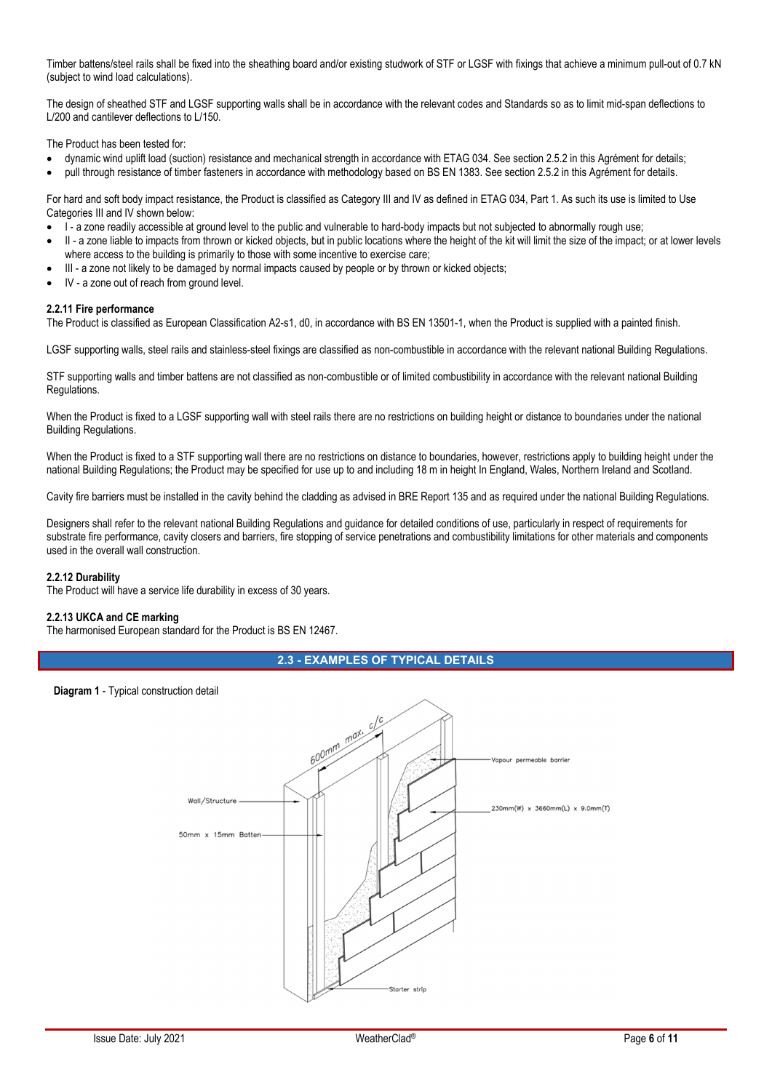Timber battens/steel rails shall be fixed into the sheathing board and/or existing studwork of STF or LGSF with fixings that achieve a minimum pull-out of 0.7 kN (subject to wind load calculations).

The design of sheathed STF and LGSF supporting walls shall be in accordance with the relevant codes and Standards so as to limit mid-span deflections to L/200 and cantilever deflections to L/150.

The Product has been tested for:

- dynamic wind uplift load (suction) resistance and mechanical strength in accordance with ETAG 034. See section 2.5.2 in this Agrément for details;
- pull through resistance of timber fasteners in accordance with methodology based on BS EN 1383. See section 2.5.2 in this Agrément for details.

For hard and soft body impact resistance, the Product is classified as Category III and IV as defined in ETAG 034, Part 1. As such its use is limited to Use Categories III and IV shown below:

- I a zone readily accessible at ground level to the public and vulnerable to hard-body impacts but not subjected to abnormally rough use;
- II a zone liable to impacts from thrown or kicked objects, but in public locations where the height of the kit will limit the size of the impact; or at lower levels where access to the building is primarily to those with some incentive to exercise care;
- III a zone not likely to be damaged by normal impacts caused by people or by thrown or kicked objects;
- IV a zone out of reach from ground level.

### **2.2.11 Fire performance**

The Product is classified as European Classification A2-s1, d0, in accordance with BS EN 13501-1, when the Product is supplied with a painted finish.

LGSF supporting walls, steel rails and stainless-steel fixings are classified as non-combustible in accordance with the relevant national Building Regulations.

STF supporting walls and timber battens are not classified as non-combustible or of limited combustibility in accordance with the relevant national Building Regulations.

When the Product is fixed to a LGSF supporting wall with steel rails there are no restrictions on building height or distance to boundaries under the national Building Regulations.

When the Product is fixed to a STF supporting wall there are no restrictions on distance to boundaries, however, restrictions apply to building height under the national Building Regulations; the Product may be specified for use up to and including 18 m in height In England, Wales, Northern Ireland and Scotland.

Cavity fire barriers must be installed in the cavity behind the cladding as advised in BRE Report 135 and as required under the national Building Regulations.

Designers shall refer to the relevant national Building Regulations and guidance for detailed conditions of use, particularly in respect of requirements for substrate fire performance, cavity closers and barriers, fire stopping of service penetrations and combustibility limitations for other materials and components used in the overall wall construction.

### **2.2.12 Durability**

The Product will have a service life durability in excess of 30 years.

### **2.2.13 UKCA and CE marking**

The harmonised European standard for the Product is BS EN 12467.

### **2.3 - EXAMPLES OF TYPICAL DETAILS**

#### **Diagram 1** - Typical construction detail

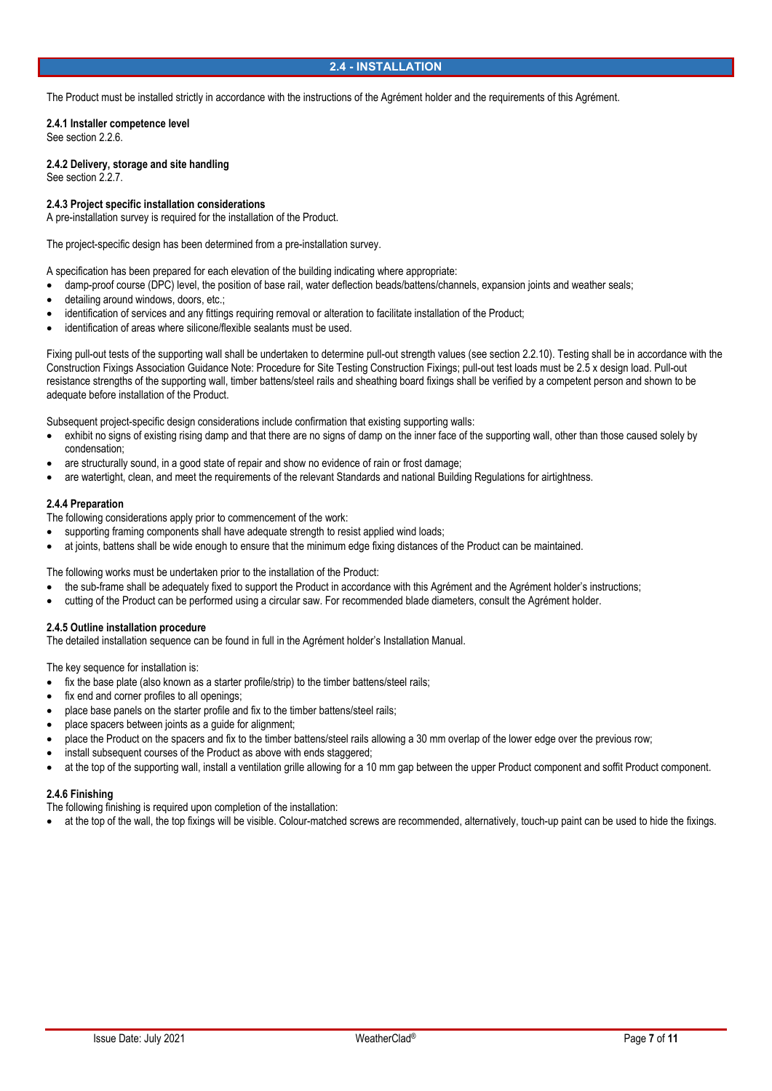### **2.4 - INSTALLATION**

The Product must be installed strictly in accordance with the instructions of the Agrément holder and the requirements of this Agrément.

**2.4.1 Installer competence level**  See section 2.2.6.

**2.4.2 Delivery, storage and site handling**  See section 2.2.7.

### **2.4.3 Project specific installation considerations**

A pre-installation survey is required for the installation of the Product.

The project-specific design has been determined from a pre-installation survey.

A specification has been prepared for each elevation of the building indicating where appropriate:

- damp-proof course (DPC) level, the position of base rail, water deflection beads/battens/channels, expansion joints and weather seals;
- detailing around windows, doors, etc.;
- identification of services and any fittings requiring removal or alteration to facilitate installation of the Product;
- identification of areas where silicone/flexible sealants must be used.

Fixing pull-out tests of the supporting wall shall be undertaken to determine pull-out strength values (see section 2.2.10). Testing shall be in accordance with the Construction Fixings Association Guidance Note: Procedure for Site Testing Construction Fixings; pull-out test loads must be 2.5 x design load. Pull-out resistance strengths of the supporting wall, timber battens/steel rails and sheathing board fixings shall be verified by a competent person and shown to be adequate before installation of the Product.

Subsequent project-specific design considerations include confirmation that existing supporting walls:

- exhibit no signs of existing rising damp and that there are no signs of damp on the inner face of the supporting wall, other than those caused solely by condensation;
- are structurally sound, in a good state of repair and show no evidence of rain or frost damage;
- are watertight, clean, and meet the requirements of the relevant Standards and national Building Regulations for airtightness.

#### **2.4.4 Preparation**

The following considerations apply prior to commencement of the work:

- supporting framing components shall have adequate strength to resist applied wind loads;
- at joints, battens shall be wide enough to ensure that the minimum edge fixing distances of the Product can be maintained.

The following works must be undertaken prior to the installation of the Product:

- the sub-frame shall be adequately fixed to support the Product in accordance with this Agrément and the Agrément holder's instructions;
- cutting of the Product can be performed using a circular saw. For recommended blade diameters, consult the Agrément holder.

### **2.4.5 Outline installation procedure**

The detailed installation sequence can be found in full in the Agrément holder's Installation Manual.

The key sequence for installation is:

- fix the base plate (also known as a starter profile/strip) to the timber battens/steel rails;
- fix end and corner profiles to all openings;
- place base panels on the starter profile and fix to the timber battens/steel rails;
- place spacers between joints as a guide for alignment;
- place the Product on the spacers and fix to the timber battens/steel rails allowing a 30 mm overlap of the lower edge over the previous row;
- install subsequent courses of the Product as above with ends staggered;
- at the top of the supporting wall, install a ventilation grille allowing for a 10 mm gap between the upper Product component and soffit Product component.

### **2.4.6 Finishing**

The following finishing is required upon completion of the installation:

at the top of the wall, the top fixings will be visible. Colour-matched screws are recommended, alternatively, touch-up paint can be used to hide the fixings.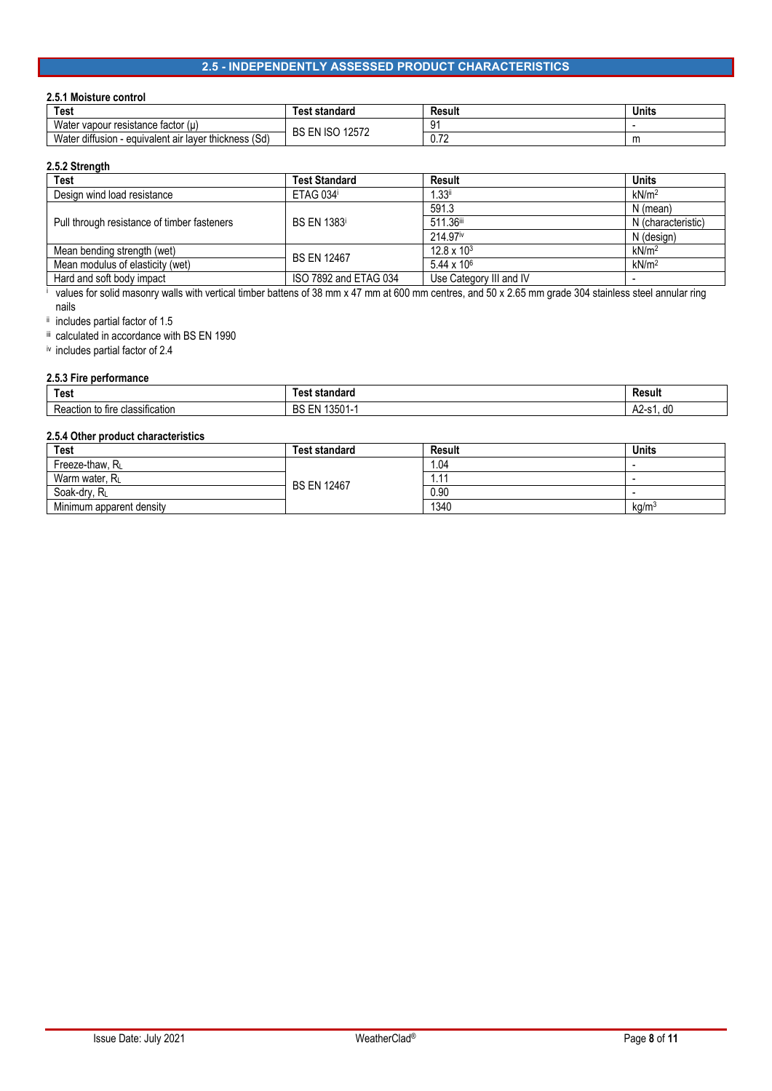# **2.5 - INDEPENDENTLY ASSESSED PRODUCT CHARACTERISTICS**

# **2.5.1 Moisture control**

| Test                                                                | ⊺est standard         | Result            | <b>Units</b> |
|---------------------------------------------------------------------|-----------------------|-------------------|--------------|
| Wate.<br>∵vapour resistance factor (<br>-611                        | 12572<br>EN ISO<br>BS |                   |              |
| <br>Wate.<br>็วn - equivalent air layer thickness (Sd)<br>diffusion |                       | 70<br><b>v.IL</b> | m            |

# **2.5.2 Strength**

i

| <b>Test</b>                                 | <b>Test Standard</b>  | Result                  | <b>Units</b>       |
|---------------------------------------------|-----------------------|-------------------------|--------------------|
| Design wind load resistance                 | ETAG 034              | $1.33$ <sup>ii</sup>    | kN/m <sup>2</sup>  |
|                                             | <b>BS EN 1383</b>     | 591.3                   | N (mean)           |
| Pull through resistance of timber fasteners |                       | 511.36iii               | N (characteristic) |
|                                             |                       | 214.97iv                | N (design)         |
| Mean bending strength (wet)                 | <b>BS EN 12467</b>    | $12.8 \times 10^{3}$    | kN/m <sup>2</sup>  |
| Mean modulus of elasticity (wet)            |                       | $5.44 \times 10^{6}$    | kN/m <sup>2</sup>  |
| Hard and soft body impact                   | ISO 7892 and ETAG 034 | Use Category III and IV |                    |

values for solid masonry walls with vertical timber battens of 38 mm x 47 mm at 600 mm centres, and 50 x 2.65 mm grade 304 stainless steel annular ring nails

ii includes partial factor of 1.5

iii calculated in accordance with BS EN 1990

iv includes partial factor of 2.4

#### **2.5.3 Fire performance**

| <b>Test</b>                                                    | .<br>uandaru -              | Result                       |
|----------------------------------------------------------------|-----------------------------|------------------------------|
| -<br>e classification<br>Kea<br><b>TIFE</b><br>: tion.<br>- 19 | $-0$<br>DС<br>.<br>ັບບ<br>. | $\sim$<br>.,<br>uu<br>∼<br>. |

# **2.5.4 Other product characteristics**

| Test                     | Test standard      | <b>Result</b> | <b>Units</b>      |
|--------------------------|--------------------|---------------|-------------------|
| Freeze-thaw, RL          |                    | 1.04          |                   |
| Warm water, RL           | <b>BS EN 12467</b> | 11.,          |                   |
| Soak-dry, RL             |                    | 0.90          |                   |
| Minimum apparent density |                    | 1340          | kq/m <sup>3</sup> |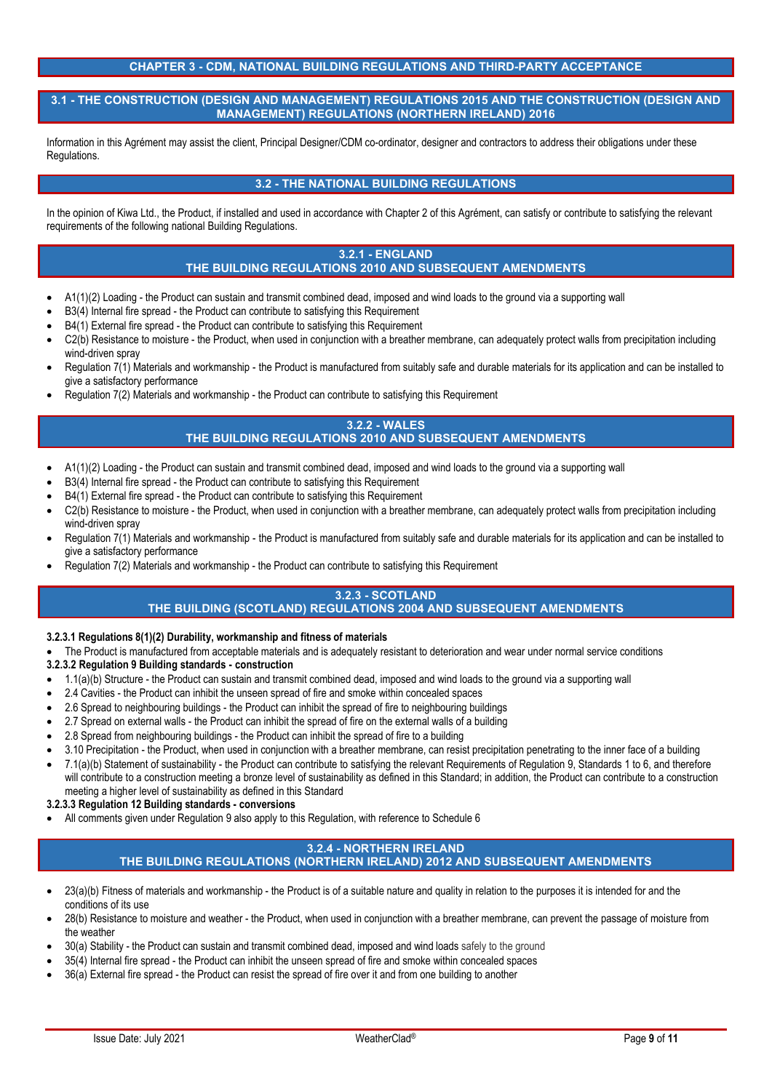### **CHAPTER 3 - CDM, NATIONAL BUILDING REGULATIONS AND THIRD-PARTY ACCEPTANCE**

### **3.1 - THE CONSTRUCTION (DESIGN AND MANAGEMENT) REGULATIONS 2015 AND THE CONSTRUCTION (DESIGN AND MANAGEMENT) REGULATIONS (NORTHERN IRELAND) 2016**

Information in this Agrément may assist the client, Principal Designer/CDM co-ordinator, designer and contractors to address their obligations under these Regulations.

# **3.2 - THE NATIONAL BUILDING REGULATIONS**

In the opinion of Kiwa Ltd., the Product, if installed and used in accordance with Chapter 2 of this Agrément, can satisfy or contribute to satisfying the relevant requirements of the following national Building Regulations.

# **3.2.1 - ENGLAND THE BUILDING REGULATIONS 2010 AND SUBSEQUENT AMENDMENTS**

- A1(1)(2) Loading the Product can sustain and transmit combined dead, imposed and wind loads to the ground via a supporting wall
- B3(4) Internal fire spread the Product can contribute to satisfying this Requirement
- B4(1) External fire spread the Product can contribute to satisfying this Requirement
- C2(b) Resistance to moisture the Product, when used in conjunction with a breather membrane, can adequately protect walls from precipitation including wind-driven spray
- Regulation 7(1) Materials and workmanship the Product is manufactured from suitably safe and durable materials for its application and can be installed to give a satisfactory performance
- Regulation 7(2) Materials and workmanship the Product can contribute to satisfying this Requirement

#### **3.2.2 - WALES THE BUILDING REGULATIONS 2010 AND SUBSEQUENT AMENDMENTS**

- A1(1)(2) Loading the Product can sustain and transmit combined dead, imposed and wind loads to the ground via a supporting wall
- B3(4) Internal fire spread the Product can contribute to satisfying this Requirement
- B4(1) External fire spread the Product can contribute to satisfying this Requirement
- C2(b) Resistance to moisture the Product, when used in conjunction with a breather membrane, can adequately protect walls from precipitation including wind-driven spray
- Regulation 7(1) Materials and workmanship the Product is manufactured from suitably safe and durable materials for its application and can be installed to give a satisfactory performance
- Regulation 7(2) Materials and workmanship the Product can contribute to satisfying this Requirement

### **3.2.3 - SCOTLAND THE BUILDING (SCOTLAND) REGULATIONS 2004 AND SUBSEQUENT AMENDMENTS**

### **3.2.3.1 Regulations 8(1)(2) Durability, workmanship and fitness of materials**

- The Product is manufactured from acceptable materials and is adequately resistant to deterioration and wear under normal service conditions
- **3.2.3.2 Regulation 9 Building standards construction**
- 1.1(a)(b) Structure the Product can sustain and transmit combined dead, imposed and wind loads to the ground via a supporting wall
- 2.4 Cavities the Product can inhibit the unseen spread of fire and smoke within concealed spaces
- 2.6 Spread to neighbouring buildings the Product can inhibit the spread of fire to neighbouring buildings
- 2.7 Spread on external walls the Product can inhibit the spread of fire on the external walls of a building
- 2.8 Spread from neighbouring buildings the Product can inhibit the spread of fire to a building
- 3.10 Precipitation the Product, when used in conjunction with a breather membrane, can resist precipitation penetrating to the inner face of a building
- 7.1(a)(b) Statement of sustainability the Product can contribute to satisfying the relevant Requirements of Regulation 9, Standards 1 to 6, and therefore will contribute to a construction meeting a bronze level of sustainability as defined in this Standard; in addition, the Product can contribute to a construction meeting a higher level of sustainability as defined in this Standard

### **3.2.3.3 Regulation 12 Building standards - conversions**

All comments given under Regulation 9 also apply to this Regulation, with reference to Schedule 6

### **3.2.4 - NORTHERN IRELAND**

# **THE BUILDING REGULATIONS (NORTHERN IRELAND) 2012 AND SUBSEQUENT AMENDMENTS**

- 23(a)(b) Fitness of materials and workmanship the Product is of a suitable nature and quality in relation to the purposes it is intended for and the conditions of its use
- 28(b) Resistance to moisture and weather the Product, when used in conjunction with a breather membrane, can prevent the passage of moisture from the weather
- 30(a) Stability the Product can sustain and transmit combined dead, imposed and wind loads safely to the ground
- 35(4) Internal fire spread the Product can inhibit the unseen spread of fire and smoke within concealed spaces
- 36(a) External fire spread the Product can resist the spread of fire over it and from one building to another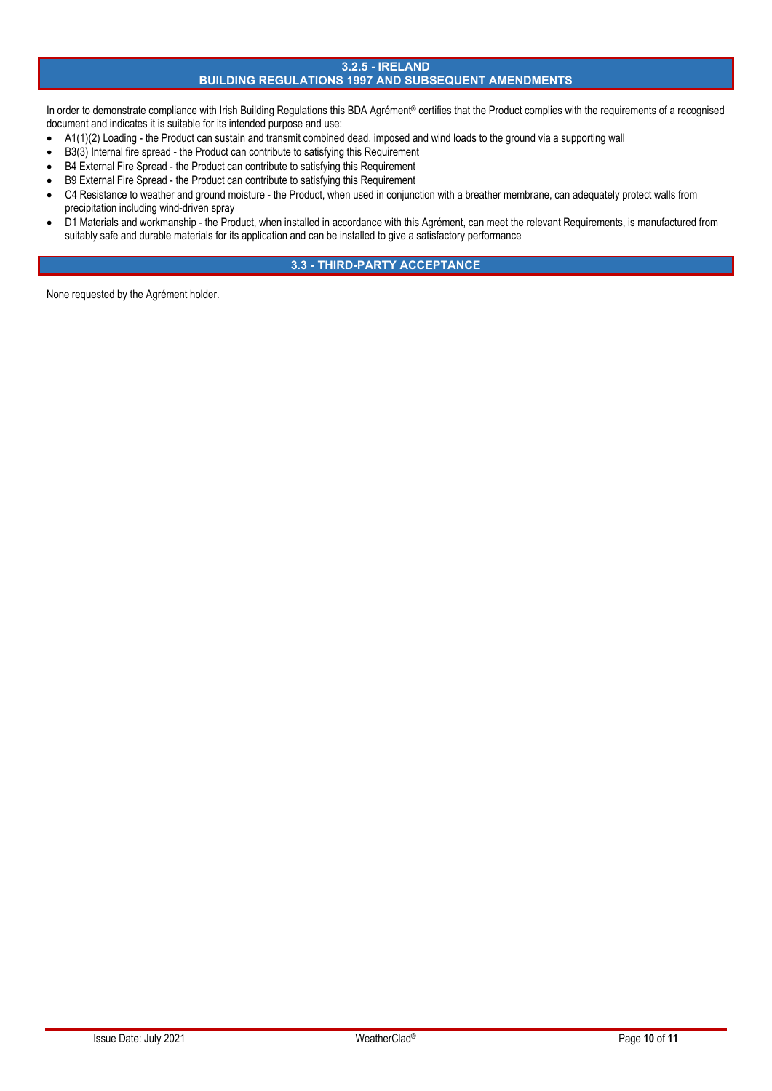# **3.2.5 - IRELAND BUILDING REGULATIONS 1997 AND SUBSEQUENT AMENDMENTS**

In order to demonstrate compliance with Irish Building Regulations this BDA Agrément® certifies that the Product complies with the requirements of a recognised document and indicates it is suitable for its intended purpose and use:

- A1(1)(2) Loading the Product can sustain and transmit combined dead, imposed and wind loads to the ground via a supporting wall
- B3(3) Internal fire spread the Product can contribute to satisfying this Requirement
- B4 External Fire Spread the Product can contribute to satisfying this Requirement
- B9 External Fire Spread the Product can contribute to satisfying this Requirement
- C4 Resistance to weather and ground moisture the Product, when used in conjunction with a breather membrane, can adequately protect walls from precipitation including wind-driven spray
- D1 Materials and workmanship the Product, when installed in accordance with this Agrément, can meet the relevant Requirements, is manufactured from suitably safe and durable materials for its application and can be installed to give a satisfactory performance

# **3.3 - THIRD-PARTY ACCEPTANCE**

None requested by the Agrément holder.